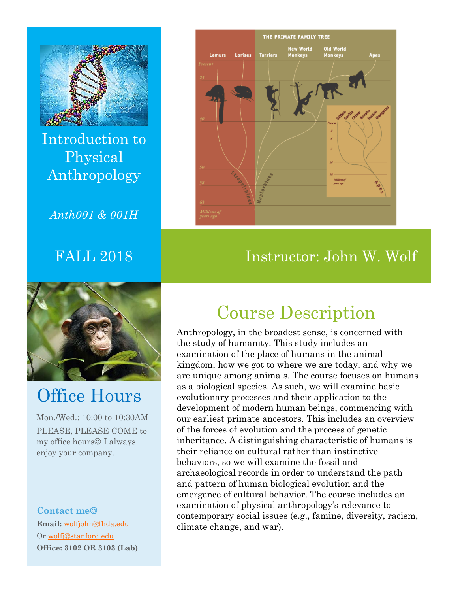

Introduction to Physical Anthropology

*Anth001 & 001H* 



# Office Hours

Mon./Wed.: 10:00 to 10:30AM PLEASE, PLEASE COME to my office hours $\odot$  I always enjoy your company.

**Contact me Email:** wolfjohn@fhda.edu Or wolfj@stanford.edu **Office: 3102 OR 3103 (Lab)** 



#### FALL 2018 Instructor: John W. Wolf

# Course Description

Anthropology, in the broadest sense, is concerned with the study of humanity. This study includes an examination of the place of humans in the animal kingdom, how we got to where we are today, and why we are unique among animals. The course focuses on humans as a biological species. As such, we will examine basic evolutionary processes and their application to the development of modern human beings, commencing with our earliest primate ancestors. This includes an overview of the forces of evolution and the process of genetic inheritance. A distinguishing characteristic of humans is their reliance on cultural rather than instinctive behaviors, so we will examine the fossil and archaeological records in order to understand the path and pattern of human biological evolution and the emergence of cultural behavior. The course includes an examination of physical anthropology's relevance to contemporary social issues (e.g., famine, diversity, racism, climate change, and war).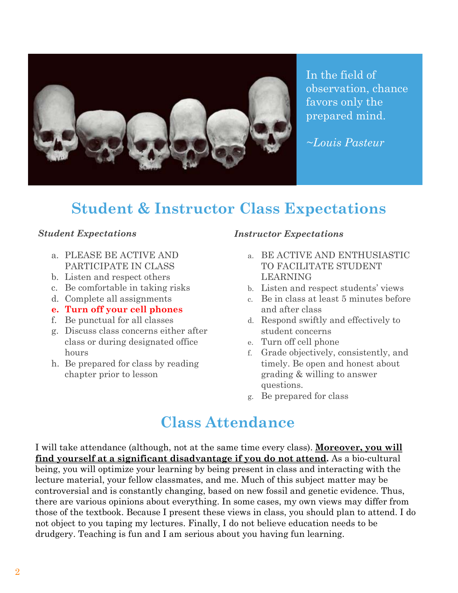

In the field of observation, chance favors only the prepared mind.

*~Louis Pasteur* 

## **Student & Instructor Class Expectations**

#### *Student Expectations*

- a. PLEASE BE ACTIVE AND PARTICIPATE IN CLASS
- b. Listen and respect others
- c. Be comfortable in taking risks
- d. Complete all assignments
- **e. Turn off your cell phones**
- f. Be punctual for all classes
- g. Discuss class concerns either after class or during designated office hours
- h. Be prepared for class by reading chapter prior to lesson

#### *Instructor Expectations*

- a. BE ACTIVE AND ENTHUSIASTIC TO FACILITATE STUDENT LEARNING
- b. Listen and respect students' views
- c. Be in class at least 5 minutes before and after class
- d. Respond swiftly and effectively to student concerns
- e. Turn off cell phone
- f. Grade objectively, consistently, and timely. Be open and honest about grading & willing to answer questions.
- g. Be prepared for class

### **Class Attendance**

I will take attendance (although, not at the same time every class). **Moreover, you will find yourself at a significant disadvantage if you do not attend.** As a bio-cultural being, you will optimize your learning by being present in class and interacting with the lecture material, your fellow classmates, and me. Much of this subject matter may be controversial and is constantly changing, based on new fossil and genetic evidence. Thus, there are various opinions about everything. In some cases, my own views may differ from those of the textbook. Because I present these views in class, you should plan to attend. I do not object to you taping my lectures. Finally, I do not believe education needs to be drudgery. Teaching is fun and I am serious about you having fun learning.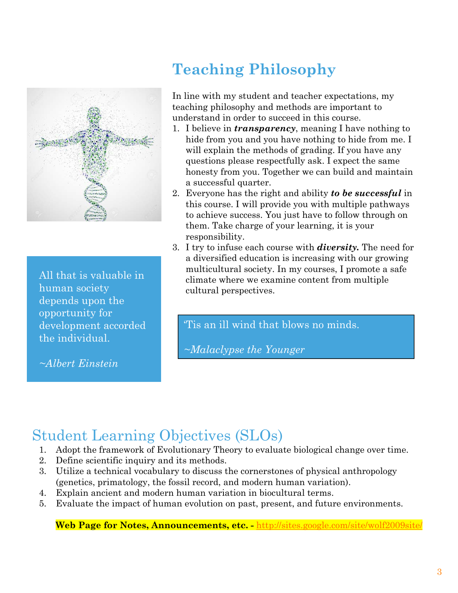

All that is valuable in human society depends upon the opportunity for development accorded the individual.

*~Albert Einstein* 

# **Teaching Philosophy**

In line with my student and teacher expectations, my teaching philosophy and methods are important to understand in order to succeed in this course.

- 1. I believe in *transparency*, meaning I have nothing to hide from you and you have nothing to hide from me. I will explain the methods of grading. If you have any questions please respectfully ask. I expect the same honesty from you. Together we can build and maintain a successful quarter.
- 2. Everyone has the right and ability *to be successful* in this course. I will provide you with multiple pathways to achieve success. You just have to follow through on them. Take charge of your learning, it is your responsibility.
- 3. I try to infuse each course with *diversity.* The need for a diversified education is increasing with our growing multicultural society. In my courses, I promote a safe climate where we examine content from multiple cultural perspectives.

'Tis an ill wind that blows no minds.

*~Malaclypse the Younger* 

# Student Learning Objectives (SLOs)

- 1. Adopt the framework of Evolutionary Theory to evaluate biological change over time.
- 2. Define scientific inquiry and its methods.
- 3. Utilize a technical vocabulary to discuss the cornerstones of physical anthropology (genetics, primatology, the fossil record, and modern human variation).
- 4. Explain ancient and modern human variation in biocultural terms.
- 5. Evaluate the impact of human evolution on past, present, and future environments.

**Web Page for Notes, Announcements, etc. -** http://sites.google.com/site/wolf2009site/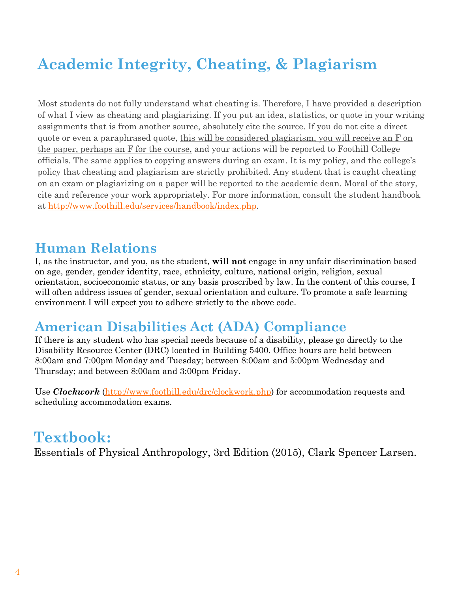# **Academic Integrity, Cheating, & Plagiarism**

Most students do not fully understand what cheating is. Therefore, I have provided a description of what I view as cheating and plagiarizing. If you put an idea, statistics, or quote in your writing assignments that is from another source, absolutely cite the source. If you do not cite a direct quote or even a paraphrased quote, this will be considered plagiarism, you will receive an F on the paper, perhaps an F for the course, and your actions will be reported to Foothill College officials. The same applies to copying answers during an exam. It is my policy, and the college's policy that cheating and plagiarism are strictly prohibited. Any student that is caught cheating on an exam or plagiarizing on a paper will be reported to the academic dean. Moral of the story, cite and reference your work appropriately. For more information, consult the student handbook at http://www.foothill.edu/services/handbook/index.php.

#### **Human Relations**

I, as the instructor, and you, as the student, **will not** engage in any unfair discrimination based on age, gender, gender identity, race, ethnicity, culture, national origin, religion, sexual orientation, socioeconomic status, or any basis proscribed by law. In the content of this course, I will often address issues of gender, sexual orientation and culture. To promote a safe learning environment I will expect you to adhere strictly to the above code.

#### **American Disabilities Act (ADA) Compliance**

If there is any student who has special needs because of a disability, please go directly to the Disability Resource Center (DRC) located in Building 5400. Office hours are held between 8:00am and 7:00pm Monday and Tuesday; between 8:00am and 5:00pm Wednesday and Thursday; and between 8:00am and 3:00pm Friday.

Use *Clockwork* (http://www.foothill.edu/drc/clockwork.php) for accommodation requests and scheduling accommodation exams.

### **Textbook:**

Essentials of Physical Anthropology, 3rd Edition (2015), Clark Spencer Larsen.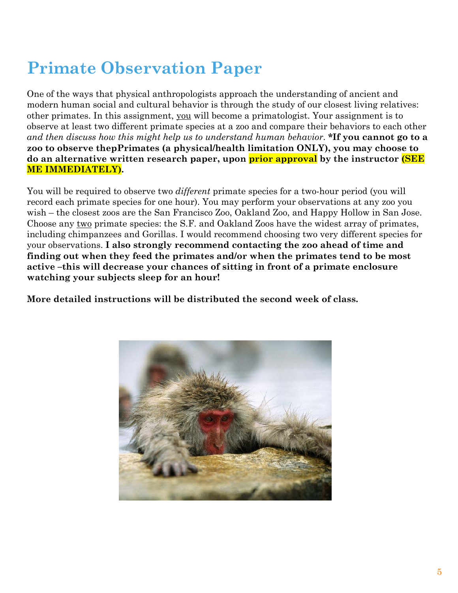# **Primate Observation Paper**

One of the ways that physical anthropologists approach the understanding of ancient and modern human social and cultural behavior is through the study of our closest living relatives: other primates. In this assignment, you will become a primatologist. Your assignment is to observe at least two different primate species at a zoo and compare their behaviors to each other *and then discuss how this might help us to understand human behavior*. **\*If you cannot go to a zoo to observe thepPrimates (a physical/health limitation ONLY), you may choose to do an alternative written research paper, upon prior approval by the instructor (SEE ME IMMEDIATELY).** 

You will be required to observe two *different* primate species for a two-hour period (you will record each primate species for one hour). You may perform your observations at any zoo you wish – the closest zoos are the San Francisco Zoo, Oakland Zoo, and Happy Hollow in San Jose. Choose any two primate species: the S.F. and Oakland Zoos have the widest array of primates, including chimpanzees and Gorillas. I would recommend choosing two very different species for your observations. **I also strongly recommend contacting the zoo ahead of time and finding out when they feed the primates and/or when the primates tend to be most active –this will decrease your chances of sitting in front of a primate enclosure watching your subjects sleep for an hour!**

**More detailed instructions will be distributed the second week of class.** 

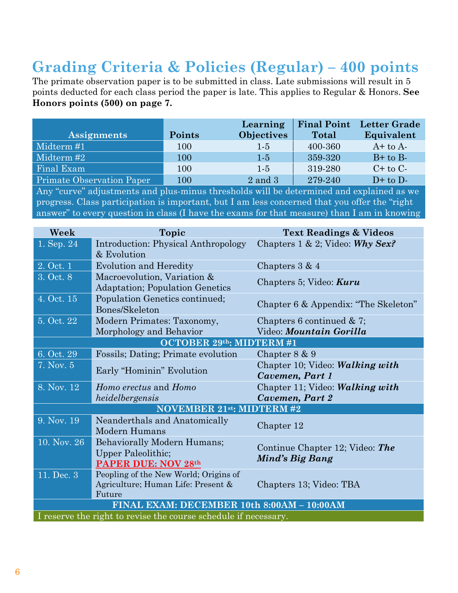# **Grading Criteria & Policies (Regular) – 400 points**

The primate observation paper is to be submitted in class. Late submissions will result in 5 points deducted for each class period the paper is late. This applies to Regular & Honors. **See Honors points (500) on page 7.** 

|                                  |        | Learning          | <b>Final Point</b> | <b>Letter Grade</b> |
|----------------------------------|--------|-------------------|--------------------|---------------------|
| <b>Assignments</b>               | Points | <b>Objectives</b> | <b>Total</b>       | Equivalent          |
| Midterm #1                       | 100    | $1-5$             | 400-360            | $A+$ to $A-$        |
| Midterm #2                       | 100    | $1-5$             | 359-320            | $B+$ to $B-$        |
| Final Exam                       | 100    | $1-5$             | 319-280            | $C+$ to $C-$        |
| <b>Primate Observation Paper</b> | 100    | $2$ and $3$       | 279-240            | $D+$ to $D-$        |

Any "curve" adjustments and plus-minus thresholds will be determined and explained as we progress. Class participation is important, but I am less concerned that you offer the "right answer" to every question in class (I have the exams for that measure) than I am in knowing

| Week                                                            | <b>Topic</b>                                                                          | <b>Text Readings &amp; Videos</b>                  |  |  |  |  |  |
|-----------------------------------------------------------------|---------------------------------------------------------------------------------------|----------------------------------------------------|--|--|--|--|--|
| 1. Sep. 24                                                      | Introduction: Physical Anthropology<br>& Evolution                                    | Chapters $1 \& 2$ ; Video: Why Sex?                |  |  |  |  |  |
| 2. Oct. 1                                                       | <b>Evolution and Heredity</b>                                                         | Chapters $3 & 4$                                   |  |  |  |  |  |
| 3. Oct. 8                                                       | Macroevolution, Variation &<br><b>Adaptation</b> ; Population Genetics                | Chapters 5; Video: <b>Kuru</b>                     |  |  |  |  |  |
| 4. Oct. 15                                                      | Population Genetics continued;<br>Bones/Skeleton                                      | Chapter 6 & Appendix: "The Skeleton"               |  |  |  |  |  |
| 5. Oct. 22                                                      | Modern Primates: Taxonomy,                                                            | Chapters 6 continued $& 7;$                        |  |  |  |  |  |
|                                                                 | Morphology and Behavior                                                               | Video: Mountain Gorilla                            |  |  |  |  |  |
| OCTOBER 29th: MIDTERM #1                                        |                                                                                       |                                                    |  |  |  |  |  |
| 6. Oct. 29                                                      | Fossils; Dating; Primate evolution                                                    | Chapter $8 \& 9$                                   |  |  |  |  |  |
| 7. Nov. 5                                                       | Early "Hominin" Evolution                                                             | Chapter 10; Video: Walking with<br>Cavemen, Part 1 |  |  |  |  |  |
| 8. Nov. 12                                                      | Homo erectus and Homo                                                                 | Chapter 11; Video: Walking with                    |  |  |  |  |  |
|                                                                 | heidelbergensis                                                                       | Cavemen, Part 2                                    |  |  |  |  |  |
| <b>NOVEMBER 21st: MIDTERM #2</b>                                |                                                                                       |                                                    |  |  |  |  |  |
| 9. Nov. 19                                                      | Neanderthals and Anatomically<br>Modern Humans                                        | Chapter 12                                         |  |  |  |  |  |
| 10. Nov. 26                                                     | Behaviorally Modern Humans;<br><b>Upper Paleolithic;</b><br>PAPER DUE: NOV 28th       | Continue Chapter 12; Video: The<br>Mind's Big Bang |  |  |  |  |  |
| 11. Dec. 3                                                      | Peopling of the New World; Origins of<br>Agriculture; Human Life: Present &<br>Future | Chapters 13; Video: TBA                            |  |  |  |  |  |
| FINAL EXAM: DECEMBER 10th 8:00AM - 10:00AM                      |                                                                                       |                                                    |  |  |  |  |  |
| I reserve the right to revise the course schedule if necessary. |                                                                                       |                                                    |  |  |  |  |  |